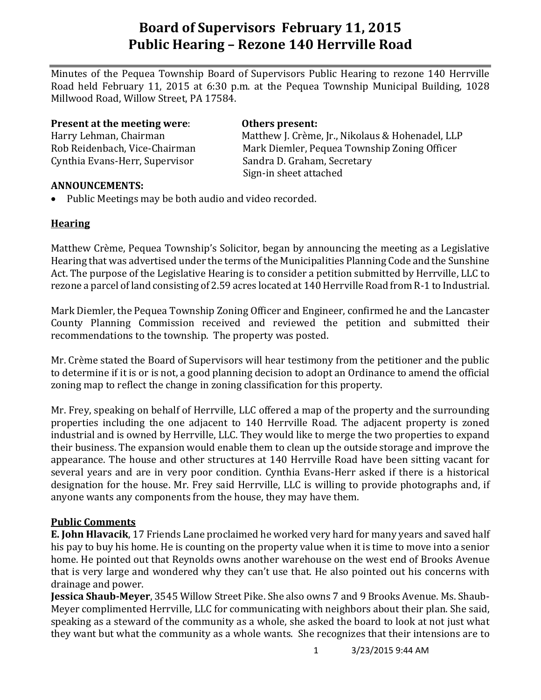# **Board of Supervisors February 11, 2015 Public Hearing – Rezone 140 Herrville Road**

Minutes of the Pequea Township Board of Supervisors Public Hearing to rezone 140 Herrville Road held February 11, 2015 at 6:30 p.m. at the Pequea Township Municipal Building, 1028 Millwood Road, Willow Street, PA 17584.

**Present at the meeting were**: **Others present:**

Cynthia Evans-Herr, Supervisor Sandra D. Graham, Secretary

Harry Lehman, Chairman Matthew J. Crème, Jr., Nikolaus & Hohenadel, LLP Rob Reidenbach, Vice-Chairman Mark Diemler, Pequea Township Zoning Officer Sign-in sheet attached

#### **ANNOUNCEMENTS:**

• Public Meetings may be both audio and video recorded.

## **Hearing**

Matthew Crème, Pequea Township's Solicitor, began by announcing the meeting as a Legislative Hearing that was advertised under the terms of the Municipalities Planning Code and the Sunshine Act. The purpose of the Legislative Hearing is to consider a petition submitted by Herrville, LLC to rezone a parcel of land consisting of 2.59 acres located at 140 Herrville Road from R-1 to Industrial.

Mark Diemler, the Pequea Township Zoning Officer and Engineer, confirmed he and the Lancaster County Planning Commission received and reviewed the petition and submitted their recommendations to the township. The property was posted.

Mr. Crème stated the Board of Supervisors will hear testimony from the petitioner and the public to determine if it is or is not, a good planning decision to adopt an Ordinance to amend the official zoning map to reflect the change in zoning classification for this property.

Mr. Frey, speaking on behalf of Herrville, LLC offered a map of the property and the surrounding properties including the one adjacent to 140 Herrville Road. The adjacent property is zoned industrial and is owned by Herrville, LLC. They would like to merge the two properties to expand their business. The expansion would enable them to clean up the outside storage and improve the appearance. The house and other structures at 140 Herrville Road have been sitting vacant for several years and are in very poor condition. Cynthia Evans-Herr asked if there is a historical designation for the house. Mr. Frey said Herrville, LLC is willing to provide photographs and, if anyone wants any components from the house, they may have them.

## **Public Comments**

**E. John Hlavacik**, 17 Friends Lane proclaimed he worked very hard for many years and saved half his pay to buy his home. He is counting on the property value when it is time to move into a senior home. He pointed out that Reynolds owns another warehouse on the west end of Brooks Avenue that is very large and wondered why they can't use that. He also pointed out his concerns with drainage and power.

**Jessica Shaub-Meyer**, 3545 Willow Street Pike. She also owns 7 and 9 Brooks Avenue. Ms. Shaub-Meyer complimented Herrville, LLC for communicating with neighbors about their plan. She said, speaking as a steward of the community as a whole, she asked the board to look at not just what they want but what the community as a whole wants. She recognizes that their intensions are to

1 3/23/2015 9:44 AM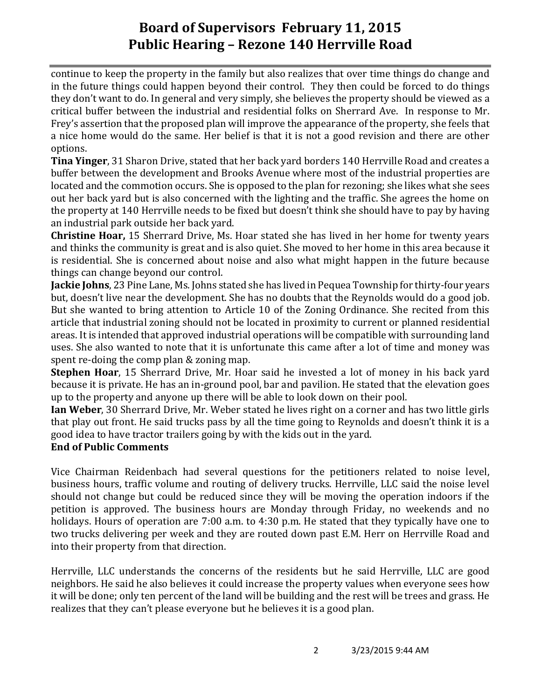# **Board of Supervisors February 11, 2015 Public Hearing – Rezone 140 Herrville Road**

continue to keep the property in the family but also realizes that over time things do change and in the future things could happen beyond their control. They then could be forced to do things they don't want to do. In general and very simply, she believes the property should be viewed as a critical buffer between the industrial and residential folks on Sherrard Ave. In response to Mr. Frey's assertion that the proposed plan will improve the appearance of the property, she feels that a nice home would do the same. Her belief is that it is not a good revision and there are other options.

**Tina Yinger**, 31 Sharon Drive, stated that her back yard borders 140 Herrville Road and creates a buffer between the development and Brooks Avenue where most of the industrial properties are located and the commotion occurs. She is opposed to the plan for rezoning; she likes what she sees out her back yard but is also concerned with the lighting and the traffic. She agrees the home on the property at 140 Herrville needs to be fixed but doesn't think she should have to pay by having an industrial park outside her back yard.

**Christine Hoar,** 15 Sherrard Drive, Ms. Hoar stated she has lived in her home for twenty years and thinks the community is great and is also quiet. She moved to her home in this area because it is residential. She is concerned about noise and also what might happen in the future because things can change beyond our control.

**Jackie Johns**, 23 Pine Lane, Ms. Johns stated she has lived in Pequea Township for thirty-four years but, doesn't live near the development. She has no doubts that the Reynolds would do a good job. But she wanted to bring attention to Article 10 of the Zoning Ordinance. She recited from this article that industrial zoning should not be located in proximity to current or planned residential areas. It is intended that approved industrial operations will be compatible with surrounding land uses. She also wanted to note that it is unfortunate this came after a lot of time and money was spent re-doing the comp plan & zoning map.

**Stephen Hoar**, 15 Sherrard Drive, Mr. Hoar said he invested a lot of money in his back yard because it is private. He has an in-ground pool, bar and pavilion. He stated that the elevation goes up to the property and anyone up there will be able to look down on their pool.

**Ian Weber**, 30 Sherrard Drive, Mr. Weber stated he lives right on a corner and has two little girls that play out front. He said trucks pass by all the time going to Reynolds and doesn't think it is a good idea to have tractor trailers going by with the kids out in the yard.

## **End of Public Comments**

Vice Chairman Reidenbach had several questions for the petitioners related to noise level, business hours, traffic volume and routing of delivery trucks. Herrville, LLC said the noise level should not change but could be reduced since they will be moving the operation indoors if the petition is approved. The business hours are Monday through Friday, no weekends and no holidays. Hours of operation are 7:00 a.m. to 4:30 p.m. He stated that they typically have one to two trucks delivering per week and they are routed down past E.M. Herr on Herrville Road and into their property from that direction.

Herrville, LLC understands the concerns of the residents but he said Herrville, LLC are good neighbors. He said he also believes it could increase the property values when everyone sees how it will be done; only ten percent of the land will be building and the rest will be trees and grass. He realizes that they can't please everyone but he believes it is a good plan.